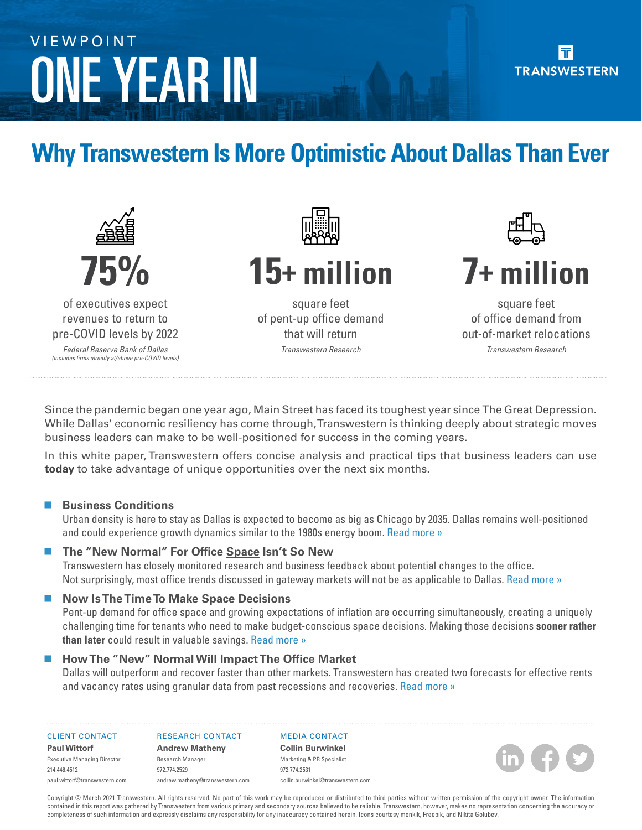# Dallas+Fort Worth ONE YEAR IN VIEWPOINT

# **Why Transwestern Is More Optimistic About Dallas Than Ever**



Since the pandemic began one year ago, Main Street has faced its toughest year since The Great Depression. While Dallas' economic resiliency has come through, Transwestern is thinking deeply about strategic moves business leaders can make to be well-positioned for success in the coming years.

In this white paper, Transwestern offers concise analysis and practical tips that business leaders can use **today** to take advantage of unique opportunities over the next six months.

### **Business Conditions**

Urban density is here to stay as Dallas is expected to become as big as Chicago by 2035. Dallas remains well-positioned and could experience growth dynamics similar to the 1980s energy boom. [Read more »](#page-1-0) 

### ■ The "New Normal" For Office Space Isn't So New

Transwestern has closely monitored research and business feedback about potential changes to the office. Not surprisingly, most office trends discussed in gateway markets will not be as applicable to Dallas. [Read more »](#page-2-0) 

### ■ Now Is The Time To Make Space Decisions

Pent-up demand for office space and growing expectations of inflation are occurring simultaneously, creating a uniquely challenging time for tenants who need to make budget-conscious space decisions. Making those decisions **sooner rather than later** could result in valuable savings. [Read more »](#page-3-0) 

### ■ How The "New" Normal Will Impact The Office Market

Dallas will outperform and recover faster than other markets. Transwestern has created two forecasts for effective rents and vacancy rates using granular data from past recessions and recoveries. [Read more »](#page-4-0)

#### CLIENT CONTACT

RESEARCH CONTACT

#### **Paul Wittorf** Executive Managing Director 214.446.4512

paul.wittor[f@transwestern.](mailto:paul.wittorf%40transwestern.com?subject=)com

**Andrew Matheny** Research Manager 972.774.2529 andrew.matheny[@transwestern.c](mailto:andrew.matheny%40transwestern.com?subject=)om

MEDIA CONTACT **Collin Burwinkel** Marketing & PR Specialist 972.774.2531

Copyright © March 2021 Transwestern. All rights reserved. No part of this work may be reproduced or distributed to third parties without written permission of the copyright owner. The information contained in this report was gathered by Transwestern from various primary and secondary sources believed to be reliable. Transwestern, however, makes no representation concerning the accuracy or completeness of such information and expressly disclaims any responsibility for any inaccuracy contained herein. Icons courtesy monkik, Freepik, and Nikita Golubev.

collin.burwinke[l@transwestern.](mailto:collin.burwinkel%40transwestern.com?subject=)com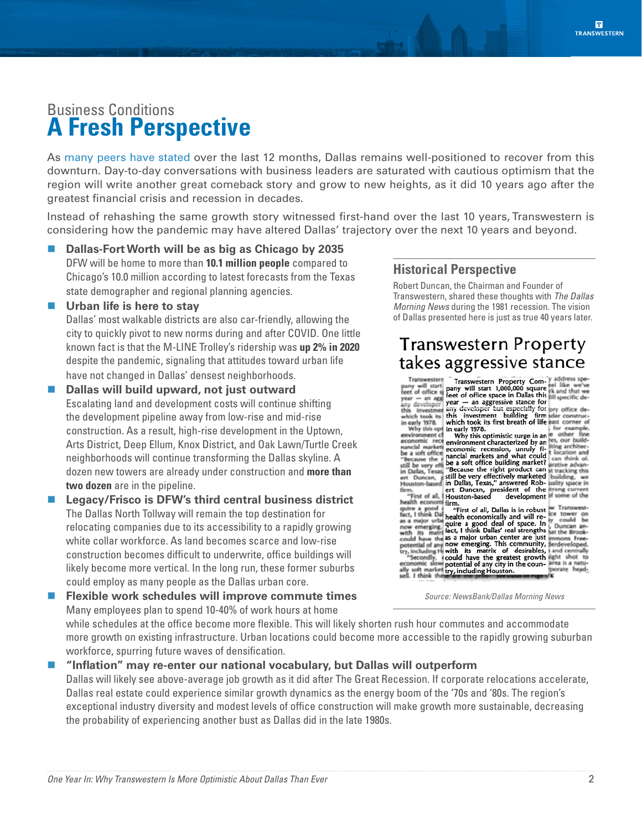# <span id="page-1-0"></span>Business Conditions **A Fresh Perspective**

As [many peers have stated](https://insights.transwestern.com/index.php/2020/12/10/market-mystery-why-dfw-presents-a-strong-case-for-quick-recovery/) over the last 12 months, Dallas remains well-positioned to recover from this downturn. Day-to-day conversations with business leaders are saturated with cautious optimism that the region will write another great comeback story and grow to new heights, as it did 10 years ago after the greatest financial crisis and recession in decades.

Instead of rehashing the same growth story witnessed first-hand over the last 10 years, Transwestern is considering how the pandemic may have altered Dallas' trajectory over the next 10 years and beyond.

- **Dallas-Fort Worth will be as big as Chicago by 2035** DFW will be home to more than **10.1 million people** compared to Chicago's 10.0 million according to latest forecasts from the Texas state demographer and regional planning agencies.
- **Urban life is here to stay**

Dallas' most walkable districts are also car-friendly, allowing the city to quickly pivot to new norms during and after COVID. One little known fact is that the M-LINE Trolley's ridership was **up 2% in 2020** despite the pandemic, signaling that attitudes toward urban life have not changed in Dallas' densest neighborhoods.

- **Dallas will build upward, not just outward** Escalating land and development costs will continue shifting the development pipeline away from low-rise and mid-rise construction. As a result, high-rise development in the Uptown, Arts District, Deep Ellum, Knox District, and Oak Lawn/Turtle Creek neighborhoods will continue transforming the Dallas skyline. A dozen new towers are already under construction and **more than two dozen** are in the pipeline.
- Legacy/Frisco is DFW's third central business district The Dallas North Tollway will remain the top destination for relocating companies due to its accessibility to a rapidly growing white collar workforce. As land becomes scarce and low-rise construction becomes difficult to underwrite, office buildings will likely become more vertical. In the long run, these former suburbs could employ as many people as the Dallas urban core.

 **Flexible work schedules will improve commute times** Many employees plan to spend 10-40% of work hours at home

### **Historical Perspective**

Robert Duncan, the Chairman and Founder of Transwestern, shared these thoughts with *The Dallas Morning News* during the 1981 recession. The vision of Dallas presented here is just as true 40 years later.

### **Transwestern Property** takes aggressive stance

| address spe-<br>Transwestern<br>Transwestern Property Com-<br>el like we've<br>pany will start<br>pany will start 1,000,000 square<br>ek and that we<br>feet of office s<br>feet of office space in Dallas this fill specific de-<br>$year - an axis$<br>year - an aggressive stance for<br>any developer<br>any developer but especially for ory office de-<br>this investmen<br>this investment building firm ider construc-<br>which took its<br>which took its first breath of life hast corner of<br>in early 1978.<br>for example.<br>Why this opt<br>in early 1978.<br>other fine<br>environment cl<br>Why this optimistic surge in an<br>es, our build-<br>economic rect<br>environment characterized by an<br>iting architec-<br>nancial marketi<br>economic recession, unruly fi-<br>t location and<br>be a soft office<br>nancial markets and what could<br>can think of.<br>"Because the<br>be a soft office building market?<br>arative advan-<br>still be very eff<br>"Because the right product can<br>it tracking this<br>in Dallas, Texas<br>still be very effectively marketed<br>building, we<br>ert Duncan,<br>in Dallas, Texas," answered Rob-<br>uality space in<br>Houston-based<br>trong current |
|--------------------------------------------------------------------------------------------------------------------------------------------------------------------------------------------------------------------------------------------------------------------------------------------------------------------------------------------------------------------------------------------------------------------------------------------------------------------------------------------------------------------------------------------------------------------------------------------------------------------------------------------------------------------------------------------------------------------------------------------------------------------------------------------------------------------------------------------------------------------------------------------------------------------------------------------------------------------------------------------------------------------------------------------------------------------------------------------------------------------------------------------------------------------------------------------------------------------------|
| ert Duncan, president of the<br>firm.<br>If some of the<br>development<br>"First of all, I<br>Houston-based                                                                                                                                                                                                                                                                                                                                                                                                                                                                                                                                                                                                                                                                                                                                                                                                                                                                                                                                                                                                                                                                                                              |
| health economi<br>firm.<br>w Transwest-<br>quire a good<br>"First of all, Dallas is in robust<br>fact, I think Dal<br>ce tower on<br>health economically and will re-<br>could<br>as a major urba<br>quire a good deal of space. In<br>Duncan<br>now emergin<br>fact, I think Dallas' real strengths<br>at the Brook-<br>with its matri<br>as a major urban center are just<br>mmons Free-<br>could have the<br>now emerging. This community,<br>ferdeveloped.<br>potential of any<br>try, including Hi with its matrix of desirables,<br>and centrally<br>light shot to<br>"Secondly, i could have the greatest growth<br>area is a natu-<br>economic slow potential of any city in the coun-<br>porate head-<br>ally soft market try, including Houston.<br>sell. I think the                                                                                                                                                                                                                                                                                                                                                                                                                                          |

*Source: NewsBank/Dallas Morning News*

while schedules at the office become more flexible. This will likely shorten rush hour commutes and accommodate more growth on existing infrastructure. Urban locations could become more accessible to the rapidly growing suburban workforce, spurring future waves of densification.

 **"Inflation" may re-enter our national vocabulary, but Dallas will outperform** Dallas will likely see above-average job growth as it did after The Great Recession. If corporate relocations accelerate, Dallas real estate could experience similar growth dynamics as the energy boom of the '70s and '80s. The region's exceptional industry diversity and modest levels of office construction will make growth more sustainable, decreasing the probability of experiencing another bust as Dallas did in the late 1980s.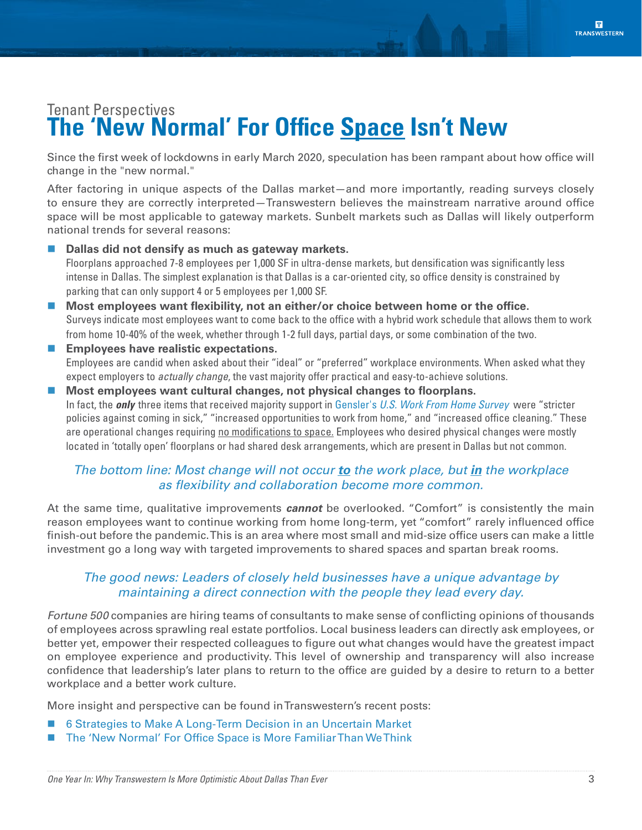# <span id="page-2-0"></span>Tenant Perspectives **The 'New Normal' For Office Space Isn't New**

Since the first week of lockdowns in early March 2020, speculation has been rampant about how office will change in the "new normal."

After factoring in unique aspects of the Dallas market—and more importantly, reading surveys closely to ensure they are correctly interpreted—Transwestern believes the mainstream narrative around office space will be most applicable to gateway markets. Sunbelt markets such as Dallas will likely outperform national trends for several reasons:

- **Dallas did not densify as much as gateway markets.** Floorplans approached 7-8 employees per 1,000 SF in ultra-dense markets, but densification was significantly less intense in Dallas. The simplest explanation is that Dallas is a car-oriented city, so office density is constrained by parking that can only support 4 or 5 employees per 1,000 SF.
- **Most employees want flexibility, not an either/or choice between home or the office.** Surveys indicate most employees want to come back to the office with a hybrid work schedule that allows them to work from home 10-40% of the week, whether through 1-2 full days, partial days, or some combination of the two.
- **Employees have realistic expectations.** Employees are candid when asked about their "ideal" or "preferred" workplace environments. When asked what they expect employers to *actually change*, the vast majority offer practical and easy-to-achieve solutions.
- **Most employees want cultural changes, not physical changes to floorplans.** In fact, the *only* three items that received majority support in Gensler's *[U.S. Work From Home Survey](http://gensler.com/research-insight/blog/insights-from-genslers-u-s-work-from-home-survey-2020)* were "stricter policies against coming in sick," "increased opportunities to work from home," and "increased office cleaning." These are operational changes requiring no modifications to space. Employees who desired physical changes were mostly located in 'totally open' floorplans or had shared desk arrangements, which are present in Dallas but not common.

### *The bottom line: Most change will not occur to the work place, but in the workplace as flexibility and collaboration become more common.*

At the same time, qualitative improvements *cannot* be overlooked. "Comfort" is consistently the main reason employees want to continue working from home long-term, yet "comfort" rarely influenced office finish-out before the pandemic. This is an area where most small and mid-size office users can make a little investment go a long way with targeted improvements to shared spaces and spartan break rooms.

### *The good news: Leaders of closely held businesses have a unique advantage by maintaining a direct connection with the people they lead every day.*

*Fortune 500* companies are hiring teams of consultants to make sense of conflicting opinions of thousands of employees across sprawling real estate portfolios. Local business leaders can directly ask employees, or better yet, empower their respected colleagues to figure out what changes would have the greatest impact on employee experience and productivity. This level of ownership and transparency will also increase confidence that leadership's later plans to return to the office are guided by a desire to return to a better workplace and a better work culture.

More insight and perspective can be found in Transwestern's recent posts:

- [6 Strategies to Make A Long-Term Decision in an Uncertain Market](https://insights.transwestern.com/index.php/2020/09/15/6-strategies-to-make-a-long-term-real-estate-decision-in-an-uncertain-market/)
- [The 'New Normal' For Office Space is More Familiar Than We Think](https://insights.transwestern.com/index.php/2020/12/03/the-new-normal-for-office-space-is-more-familiar-than-we-think/)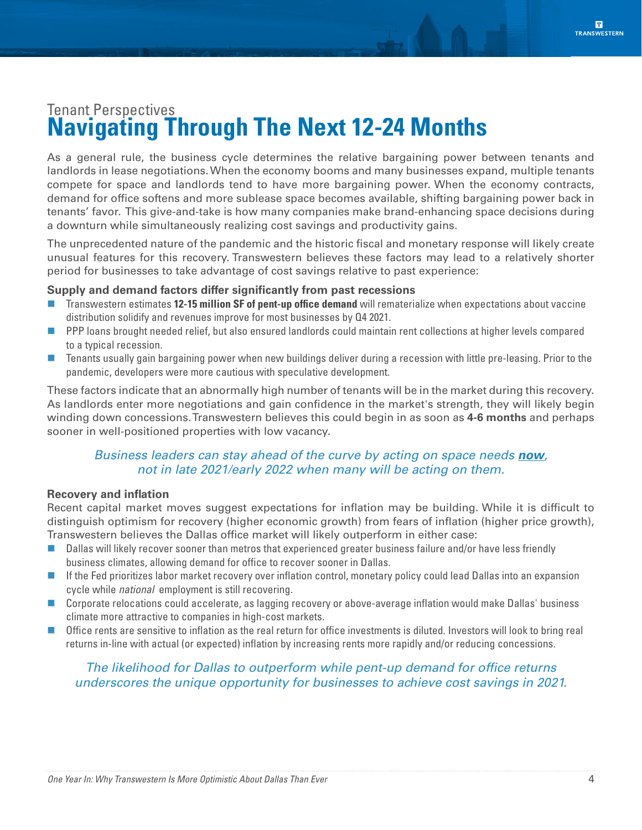# <span id="page-3-0"></span>Tenant Perspectives **Navigating Through The Next 12-24 Months**

As a general rule, the business cycle determines the relative bargaining power between tenants and landlords in lease negotiations. When the economy booms and many businesses expand, multiple tenants compete for space and landlords tend to have more bargaining power. When the economy contracts, demand for office softens and more sublease space becomes available, shifting bargaining power back in tenants' favor. This give-and-take is how many companies make brand-enhancing space decisions during a downturn while simultaneously realizing cost savings and productivity gains.

The unprecedented nature of the pandemic and the historic fiscal and monetary response will likely create unusual features for this recovery. Transwestern believes these factors may lead to a relatively shorter period for businesses to take advantage of cost savings relative to past experience:

### **Supply and demand factors differ significantly from past recessions**

- **The Transwestern estimates 12-15 million SF of pent-up office demand** will rematerialize when expectations about vaccine distribution solidify and revenues improve for most businesses by Q4 2021.
- **PPP** loans brought needed relief, but also ensured landlords could maintain rent collections at higher levels compared to a typical recession.
- Tenants usually gain bargaining power when new buildings deliver during a recession with little pre-leasing. Prior to the pandemic, developers were more cautious with speculative development.

These factors indicate that an abnormally high number of tenants will be in the market during this recovery. As landlords enter more negotiations and gain confidence in the market's strength, they will likely begin winding down concessions. Transwestern believes this could begin in as soon as **4-6 months** and perhaps sooner in well-positioned properties with low vacancy.

### *Business leaders can stay ahead of the curve by acting on space needs now, not in late 2021/early 2022 when many will be acting on them.*

### **Recovery and inflation**

Recent capital market moves suggest expectations for inflation may be building. While it is difficult to distinguish optimism for recovery (higher economic growth) from fears of inflation (higher price growth), Transwestern believes the Dallas office market will likely outperform in either case:

- Dallas will likely recover sooner than metros that experienced greater business failure and/or have less friendly business climates, allowing demand for office to recover sooner in Dallas.
- If the Fed prioritizes labor market recovery over inflation control, monetary policy could lead Dallas into an expansion cycle while *national* employment is still recovering.
- Corporate relocations could accelerate, as lagging recovery or above-average inflation would make Dallas' business climate more attractive to companies in high-cost markets.
- Office rents are sensitive to inflation as the real return for office investments is diluted. Investors will look to bring real returns in-line with actual (or expected) inflation by increasing rents more rapidly and/or reducing concessions.

### *The likelihood for Dallas to outperform while pent-up demand for office returns underscores the unique opportunity for businesses to achieve cost savings in 2021.*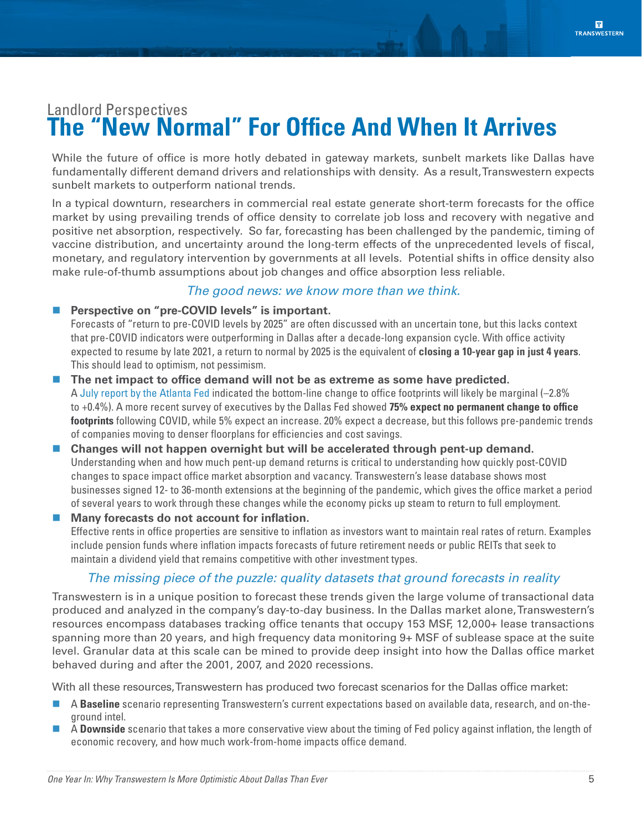# <span id="page-4-0"></span>Landlord Perspectives **The "New Normal" For Office And When It Arrives**

While the future of office is more hotly debated in gateway markets, sunbelt markets like Dallas have fundamentally different demand drivers and relationships with density. As a result, Transwestern expects sunbelt markets to outperform national trends.

In a typical downturn, researchers in commercial real estate generate short-term forecasts for the office market by using prevailing trends of office density to correlate job loss and recovery with negative and positive net absorption, respectively. So far, forecasting has been challenged by the pandemic, timing of vaccine distribution, and uncertainty around the long-term effects of the unprecedented levels of fiscal, monetary, and regulatory intervention by governments at all levels. Potential shifts in office density also make rule-of-thumb assumptions about job changes and office absorption less reliable.

### *The good news: we know more than we think.*

### **Perspective on "pre-COVID levels" is important.**

Forecasts of "return to pre-COVID levels by 2025" are often discussed with an uncertain tone, but this lacks context that pre-COVID indicators were outperforming in Dallas after a decade-long expansion cycle. With office activity expected to resume by late 2021, a return to normal by 2025 is the equivalent of **closing a 10-year gap in just 4 years**. This should lead to optimism, not pessimism.

- **The net impact to office demand will not be as extreme as some have predicted.** A [July report by the Atlanta Fed](https://www.frbatlanta.org/blogs/macroblog/2020/07/10/covid-wont-kill-demand-for-office-space.aspx) indicated the bottom-line change to office footprints will likely be marginal (–2.8% to +0.4%). A more recent survey of executives by the Dallas Fed showed **75% expect no permanent change to office footprints** following COVID, while 5% expect an increase. 20% expect a decrease, but this follows pre-pandemic trends of companies moving to denser floorplans for efficiencies and cost savings.
- **Changes will not happen overnight but will be accelerated through pent-up demand.** Understanding when and how much pent-up demand returns is critical to understanding how quickly post-COVID changes to space impact office market absorption and vacancy. Transwestern's lease database shows most businesses signed 12- to 36-month extensions at the beginning of the pandemic, which gives the office market a period of several years to work through these changes while the economy picks up steam to return to full employment.

### **Many forecasts do not account for inflation.**

Effective rents in office properties are sensitive to inflation as investors want to maintain real rates of return. Examples include pension funds where inflation impacts forecasts of future retirement needs or public REITs that seek to maintain a dividend yield that remains competitive with other investment types.

### *The missing piece of the puzzle: quality datasets that ground forecasts in reality*

Transwestern is in a unique position to forecast these trends given the large volume of transactional data produced and analyzed in the company's day-to-day business. In the Dallas market alone, Transwestern's resources encompass databases tracking office tenants that occupy 153 MSF, 12,000+ lease transactions spanning more than 20 years, and high frequency data monitoring 9+ MSF of sublease space at the suite level. Granular data at this scale can be mined to provide deep insight into how the Dallas office market behaved during and after the 2001, 2007, and 2020 recessions.

With all these resources, Transwestern has produced two forecast scenarios for the Dallas office market:

- A **Baseline** scenario representing Transwestern's current expectations based on available data, research, and on-theground intel.
- A **Downside** scenario that takes a more conservative view about the timing of Fed policy against inflation, the length of economic recovery, and how much work-from-home impacts office demand.